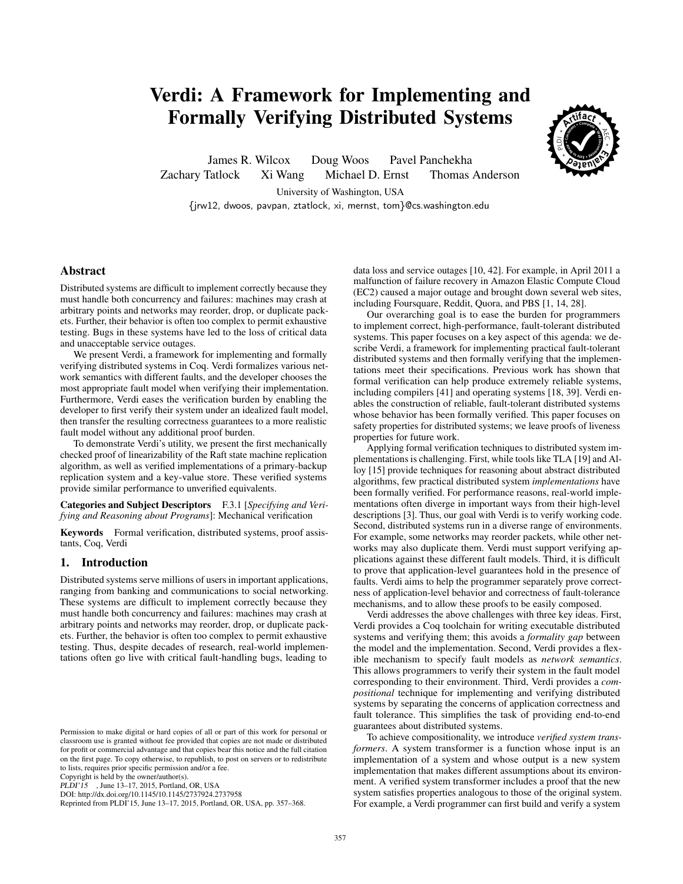# Verdi: A Framework for Implementing and Formally Verifying Distributed Systems



James R. Wilcox Doug Woos Pavel Panchekha Zachary Tatlock Xi Wang Michael D. Ernst Thomas Anderson University of Washington, USA {jrw12, dwoos, pavpan, ztatlock, xi, mernst, tom}@cs.washington.edu

# Abstract

Distributed systems are difficult to implement correctly because they must handle both concurrency and failures: machines may crash at arbitrary points and networks may reorder, drop, or duplicate packets. Further, their behavior is often too complex to permit exhaustive testing. Bugs in these systems have led to the loss of critical data and unacceptable service outages.

We present Verdi, a framework for implementing and formally verifying distributed systems in Coq. Verdi formalizes various network semantics with different faults, and the developer chooses the most appropriate fault model when verifying their implementation. Furthermore, Verdi eases the verification burden by enabling the developer to first verify their system under an idealized fault model, then transfer the resulting correctness guarantees to a more realistic fault model without any additional proof burden.

To demonstrate Verdi's utility, we present the first mechanically checked proof of linearizability of the Raft state machine replication algorithm, as well as verified implementations of a primary-backup replication system and a key-value store. These verified systems provide similar performance to unverified equivalents.

Categories and Subject Descriptors F.3.1 [*Specifying and Verifying and Reasoning about Programs*]: Mechanical verification

Keywords Formal verification, distributed systems, proof assistants, Coq, Verdi

# 1. Introduction

Distributed systems serve millions of users in important applications, ranging from banking and communications to social networking. These systems are difficult to implement correctly because they must handle both concurrency and failures: machines may crash at arbitrary points and networks may reorder, drop, or duplicate packets. Further, the behavior is often too complex to permit exhaustive testing. Thus, despite decades of research, real-world implementations often go live with critical fault-handling bugs, leading to

Copyright is held by the owner/author(s).

PLDI'15 , June 13–17, 2015, Portland, OR, USA DOI: http://dx.doi.org/10.1145/10.1145/2737924.2737958

Reprinted from PLDI'15, June 13–17, 2015, Portland, OR, USA, pp. 357–368.

data loss and service outages [\[10,](#page-11-0) [42\]](#page-11-1). For example, in April 2011 a malfunction of failure recovery in Amazon Elastic Compute Cloud (EC2) caused a major outage and brought down several web sites, including Foursquare, Reddit, Quora, and PBS [\[1,](#page-10-0) [14,](#page-11-2) [28\]](#page-11-3).

Our overarching goal is to ease the burden for programmers to implement correct, high-performance, fault-tolerant distributed systems. This paper focuses on a key aspect of this agenda: we describe Verdi, a framework for implementing practical fault-tolerant distributed systems and then formally verifying that the implementations meet their specifications. Previous work has shown that formal verification can help produce extremely reliable systems, including compilers [\[41\]](#page-11-4) and operating systems [\[18,](#page-11-5) [39\]](#page-11-6). Verdi enables the construction of reliable, fault-tolerant distributed systems whose behavior has been formally verified. This paper focuses on safety properties for distributed systems; we leave proofs of liveness properties for future work.

Applying formal verification techniques to distributed system implementations is challenging. First, while tools like TLA [\[19\]](#page-11-7) and Alloy [\[15\]](#page-11-8) provide techniques for reasoning about abstract distributed algorithms, few practical distributed system *implementations* have been formally verified. For performance reasons, real-world implementations often diverge in important ways from their high-level descriptions [\[3\]](#page-10-1). Thus, our goal with Verdi is to verify working code. Second, distributed systems run in a diverse range of environments. For example, some networks may reorder packets, while other networks may also duplicate them. Verdi must support verifying applications against these different fault models. Third, it is difficult to prove that application-level guarantees hold in the presence of faults. Verdi aims to help the programmer separately prove correctness of application-level behavior and correctness of fault-tolerance mechanisms, and to allow these proofs to be easily composed.

Verdi addresses the above challenges with three key ideas. First, Verdi provides a Coq toolchain for writing executable distributed systems and verifying them; this avoids a *formality gap* between the model and the implementation. Second, Verdi provides a flexible mechanism to specify fault models as *network semantics*. This allows programmers to verify their system in the fault model corresponding to their environment. Third, Verdi provides a *compositional* technique for implementing and verifying distributed systems by separating the concerns of application correctness and fault tolerance. This simplifies the task of providing end-to-end guarantees about distributed systems.

To achieve compositionality, we introduce *verified system transformers*. A system transformer is a function whose input is an implementation of a system and whose output is a new system implementation that makes different assumptions about its environment. A verified system transformer includes a proof that the new system satisfies properties analogous to those of the original system. For example, a Verdi programmer can first build and verify a system

Permission to make digital or hard copies of all or part of this work for personal or classroom use is granted without fee provided that copies are not made or distributed for profit or commercial advantage and that copies bear this notice and the full citation on the first page. To copy otherwise, to republish, to post on servers or to redistribute to lists, requires prior specific permission and/or a fee.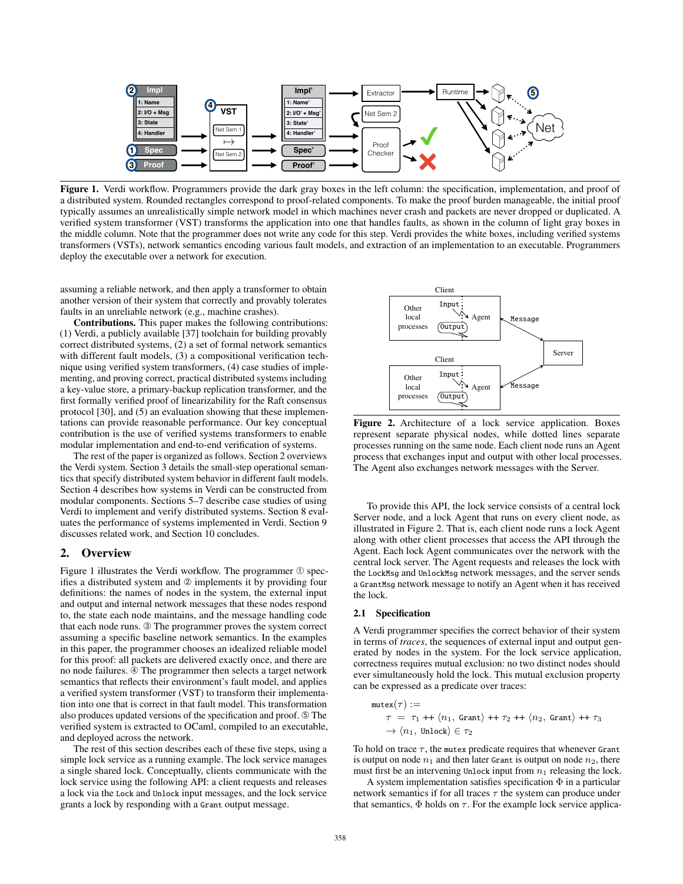

<span id="page-1-1"></span>Figure 1. Verdi workflow. Programmers provide the dark gray boxes in the left column: the specification, implementation, and proof of a distributed system. Rounded rectangles correspond to proof-related components. To make the proof burden manageable, the initial proof typically assumes an unrealistically simple network model in which machines never crash and packets are never dropped or duplicated. A verified system transformer (VST) transforms the application into one that handles faults, as shown in the column of light gray boxes in the middle column. Note that the programmer does not write any code for this step. Verdi provides the white boxes, including verified systems transformers (VSTs), network semantics encoding various fault models, and extraction of an implementation to an executable. Programmers deploy the executable over a network for execution.

assuming a reliable network, and then apply a transformer to obtain another version of their system that correctly and provably tolerates faults in an unreliable network (e.g., machine crashes).

Contributions. This paper makes the following contributions: (1) Verdi, a publicly available [\[37\]](#page-11-9) toolchain for building provably correct distributed systems, (2) a set of formal network semantics with different fault models, (3) a compositional verification technique using verified system transformers, (4) case studies of implementing, and proving correct, practical distributed systems including a key-value store, a primary-backup replication transformer, and the first formally verified proof of linearizability for the Raft consensus protocol [\[30\]](#page-11-10), and (5) an evaluation showing that these implementations can provide reasonable performance. Our key conceptual contribution is the use of verified systems transformers to enable modular implementation and end-to-end verification of systems.

The rest of the paper is organized as follows. Section [2](#page-1-0) overviews the Verdi system. Section [3](#page-4-0) details the small-step operational semantics that specify distributed system behavior in different fault models. Section [4](#page-6-0) describes how systems in Verdi can be constructed from modular components. Sections [5](#page-7-0)[–7](#page-8-0) describe case studies of using Verdi to implement and verify distributed systems. Section [8](#page-9-0) evaluates the performance of systems implemented in Verdi. Section [9](#page-9-1) discusses related work, and Section [10](#page-10-2) concludes.

## <span id="page-1-0"></span>2. Overview

Figure [1](#page-1-1) illustrates the Verdi workflow. The programmer ① specifies a distributed system and ➁ implements it by providing four definitions: the names of nodes in the system, the external input and output and internal network messages that these nodes respond to, the state each node maintains, and the message handling code that each node runs. ➂ The programmer proves the system correct assuming a specific baseline network semantics. In the examples in this paper, the programmer chooses an idealized reliable model for this proof: all packets are delivered exactly once, and there are no node failures. ➃ The programmer then selects a target network semantics that reflects their environment's fault model, and applies a verified system transformer (VST) to transform their implementation into one that is correct in that fault model. This transformation also produces updated versions of the specification and proof. ➄ The verified system is extracted to OCaml, compiled to an executable, and deployed across the network.

The rest of this section describes each of these five steps, using a simple lock service as a running example. The lock service manages a single shared lock. Conceptually, clients communicate with the lock service using the following API: a client requests and releases a lock via the Lock and Unlock input messages, and the lock service grants a lock by responding with a Grant output message.



<span id="page-1-2"></span>Figure 2. Architecture of a lock service application. Boxes represent separate physical nodes, while dotted lines separate processes running on the same node. Each client node runs an Agent process that exchanges input and output with other local processes. The Agent also exchanges network messages with the Server.

To provide this API, the lock service consists of a central lock Server node, and a lock Agent that runs on every client node, as illustrated in Figure [2.](#page-1-2) That is, each client node runs a lock Agent along with other client processes that access the API through the Agent. Each lock Agent communicates over the network with the central lock server. The Agent requests and releases the lock with the LockMsg and UnlockMsg network messages, and the server sends a GrantMsg network message to notify an Agent when it has received the lock.

#### 2.1 Specification

A Verdi programmer specifies the correct behavior of their system in terms of *traces*, the sequences of external input and output generated by nodes in the system. For the lock service application, correctness requires mutual exclusion: no two distinct nodes should ever simultaneously hold the lock. This mutual exclusion property can be expressed as a predicate over traces:

$$
\begin{aligned}\n\text{mutex}(\tau) &:=\\ \n\tau &= \tau_1 + \langle n_1, \text{ Grant} \rangle + \tau_2 + \langle n_2, \text{ Grant} \rangle + \tau_3 \\
&\to \langle n_1, \text{ Unlock} \rangle \in \tau_2\n\end{aligned}
$$

To hold on trace  $\tau$ , the mutex predicate requires that whenever Grant is output on node  $n_1$  and then later Grant is output on node  $n_2$ , there must first be an intervening Unlock input from  $n_1$  releasing the lock.

A system implementation satisfies specification  $\Phi$  in a particular network semantics if for all traces  $\tau$  the system can produce under that semantics,  $\Phi$  holds on  $\tau$ . For the example lock service applica-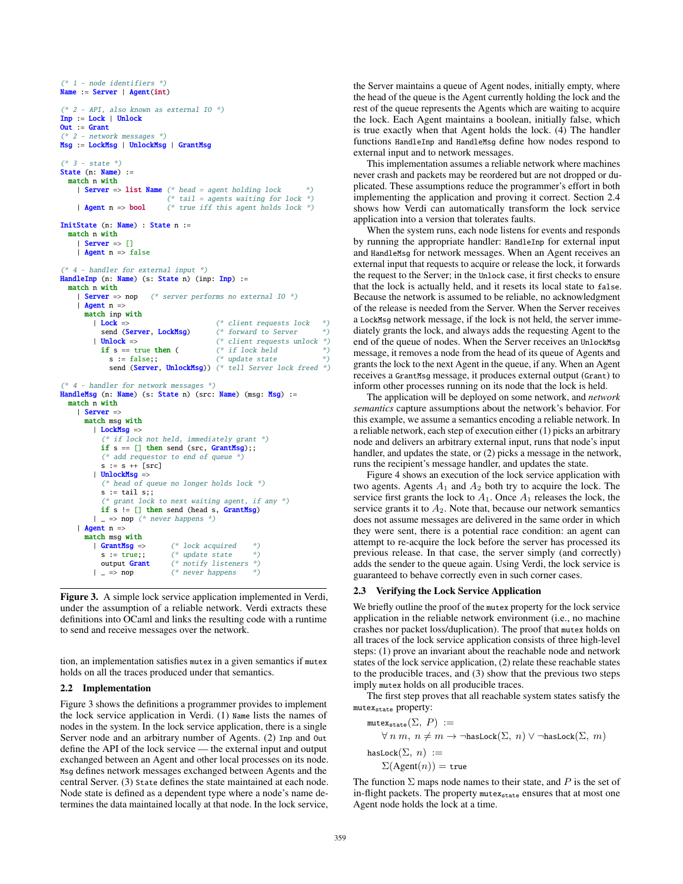```
(* 1 - node identifiers *)Name := Server | Agent(int)
(* 2 - API, also known as external 10 *)Inp := Lock | Unlock
Out := Grant(* 2 - network messages *)Msg := LockMsg | UnlockMsg | GrantMsg
(* 3 - state * )State (n: Name) :=
  match n with
     | Server => list Name (* head = agent holding lock
                                    (* tail = agents waiting for lock *)| Agent n => bool (* true iff this agent holds lock *)
InitState (n: Name) : State n :=
   match n with
      | Server => []
      | Agent n => false
(* 4 - handler for external input *)
HandleInp (n: Name) (s: State n) (inp: Inp) :=
   match n with
      | Server => nop (* server performs no external I0 *)
      | Agent n =>
        match inp with<br>| Lock =>
                                                     (* client requests lock<br>(* forward to Server
              send (Server, LockMsg) (* forward to Server (*)\begin{array}{ll}\n\textbf{(i)} \quad \textbf{(mlock)} =& \textbf{(iv)} \quad (\textit{v} \quad \textit{c} \quad \textit{if} \quad \textit{c} \quad \textit{c} \quad \textit{or} \quad \textit{c} \quad \textit{if} \quad \textit{for} \quad \textit{c} \quad \textit{if} \quad \textit{for} \quad \textit{c} \quad \textit{if} \quad \textit{for} \quad \textit{if} \quad \textit{for} \quad \textit{if} \quad \textit{for} \quad \textit{if} \quad \textit{for} \quad \textit{if} \quad \textit{for} \quad \textitif s = true then (
                s := false; (* update state
                send (Server, UnlockMsg)) (* tell Server lock freed *)
(* 4 - handler for network messages *)
HandleMsg (n: Name) (s: State n) (src: Name) (msg: Msg) :=
   match n with
     | Server =>
        match msg with
           | LockMsg =>
                * if lock not held, immediately grant *)
             if s = [] then send (src, GrantMsg);;
              (* add requestor to end of queue *)
              s := s + f s r c| UnlockMsg =>
              (* head of queue no longer holds lock *)
              s := tail s;;
                (* grant lock to next waiting agent, if any *)
              if s != [] then send (head s, GrantMsg)
           |\, = \Rightarrow nop (* never happens *)
      | Agent n \Rightarrowmatch msg with<br>\sqrt{\frac{G \cdot \text{C}}{G \cdot \text{C}}}}(* lock acquired *)
              s := true;; (*) (* update state *)<br>output Grant (* notify listeners *)
                                     (* notify listeners
           | = \Rightarrow nop (* never happens *)
```
<span id="page-2-0"></span>Figure 3. A simple lock service application implemented in Verdi, under the assumption of a reliable network. Verdi extracts these definitions into OCaml and links the resulting code with a runtime to send and receive messages over the network.

tion, an implementation satisfies mutex in a given semantics if mutex holds on all the traces produced under that semantics.

## 2.2 Implementation

Figure [3](#page-2-0) shows the definitions a programmer provides to implement the lock service application in Verdi. (1) Name lists the names of nodes in the system. In the lock service application, there is a single Server node and an arbitrary number of Agents. (2) Inp and Out define the API of the lock service — the external input and output exchanged between an Agent and other local processes on its node. Msg defines network messages exchanged between Agents and the central Server. (3) State defines the state maintained at each node. Node state is defined as a dependent type where a node's name determines the data maintained locally at that node. In the lock service,

the Server maintains a queue of Agent nodes, initially empty, where the head of the queue is the Agent currently holding the lock and the rest of the queue represents the Agents which are waiting to acquire the lock. Each Agent maintains a boolean, initially false, which is true exactly when that Agent holds the lock. (4) The handler functions HandleInp and HandleMsg define how nodes respond to external input and to network messages.

This implementation assumes a reliable network where machines never crash and packets may be reordered but are not dropped or duplicated. These assumptions reduce the programmer's effort in both implementing the application and proving it correct. Section [2.4](#page-3-0) shows how Verdi can automatically transform the lock service application into a version that tolerates faults.

When the system runs, each node listens for events and responds by running the appropriate handler: HandleInp for external input and HandleMsg for network messages. When an Agent receives an external input that requests to acquire or release the lock, it forwards the request to the Server; in the Unlock case, it first checks to ensure that the lock is actually held, and it resets its local state to false. Because the network is assumed to be reliable, no acknowledgment of the release is needed from the Server. When the Server receives a LockMsg network message, if the lock is not held, the server immediately grants the lock, and always adds the requesting Agent to the end of the queue of nodes. When the Server receives an UnlockMsg message, it removes a node from the head of its queue of Agents and grants the lock to the next Agent in the queue, if any. When an Agent receives a GrantMsg message, it produces external output (Grant) to inform other processes running on its node that the lock is held.

The application will be deployed on some network, and *network semantics* capture assumptions about the network's behavior. For this example, we assume a semantics encoding a reliable network. In a reliable network, each step of execution either (1) picks an arbitrary node and delivers an arbitrary external input, runs that node's input handler, and updates the state, or (2) picks a message in the network, runs the recipient's message handler, and updates the state.

Figure [4](#page-3-1) shows an execution of the lock service application with two agents. Agents  $A_1$  and  $A_2$  both try to acquire the lock. The service first grants the lock to  $A_1$ . Once  $A_1$  releases the lock, the service grants it to  $A_2$ . Note that, because our network semantics does not assume messages are delivered in the same order in which they were sent, there is a potential race condition: an agent can attempt to re-acquire the lock before the server has processed its previous release. In that case, the server simply (and correctly) adds the sender to the queue again. Using Verdi, the lock service is guaranteed to behave correctly even in such corner cases.

#### 2.3 Verifying the Lock Service Application

We briefly outline the proof of the mutex property for the lock service application in the reliable network environment (i.e., no machine crashes nor packet loss/duplication). The proof that mutex holds on all traces of the lock service application consists of three high-level steps: (1) prove an invariant about the reachable node and network states of the lock service application, (2) relate these reachable states to the producible traces, and (3) show that the previous two steps imply mutex holds on all producible traces.

The first step proves that all reachable system states satisfy the mutex<sub>state</sub> property:

$$
\begin{aligned} & \texttt{mutex}_{\texttt{state}}(\Sigma,~P) := \\ & \forall~n~m,~n \neq m \rightarrow \neg \texttt{hasLock}(\Sigma,~n) \lor \neg \texttt{hasLock}(\Sigma,~m) \\ & \texttt{hasLock}(\Sigma,~n) := \\ & \Sigma(\texttt{Agent}(n)) = \texttt{true} \end{aligned}
$$

The function  $\Sigma$  maps node names to their state, and P is the set of in-flight packets. The property mute $x_{state}$  ensures that at most one Agent node holds the lock at a time.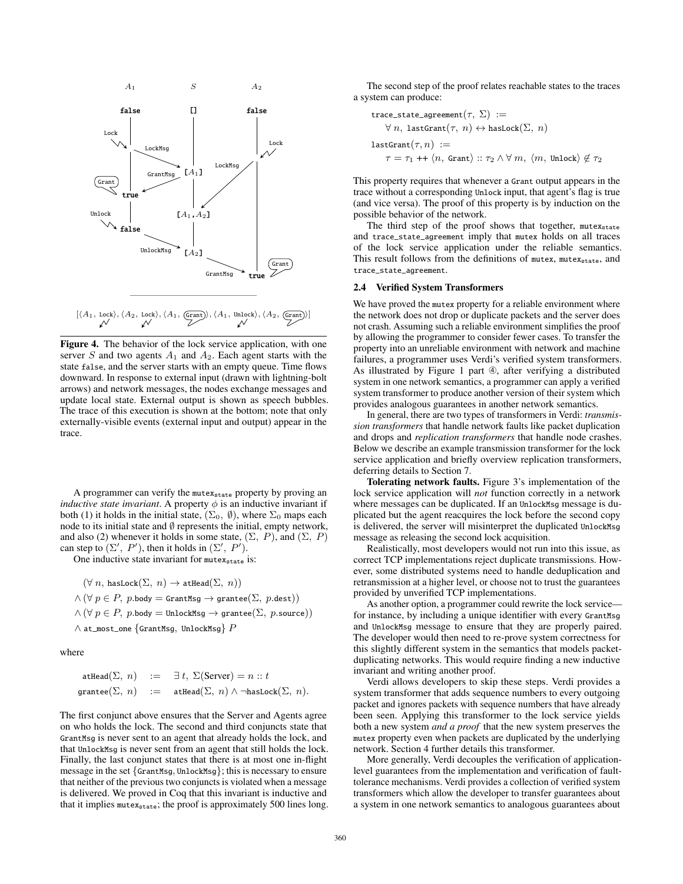

<span id="page-3-1"></span>Figure 4. The behavior of the lock service application, with one server S and two agents  $A_1$  and  $A_2$ . Each agent starts with the state false, and the server starts with an empty queue. Time flows downward. In response to external input (drawn with lightning-bolt arrows) and network messages, the nodes exchange messages and update local state. External output is shown as speech bubbles. The trace of this execution is shown at the bottom; note that only externally-visible events (external input and output) appear in the trace.

A programmer can verify the mutex<sub>state</sub> property by proving an *inductive state invariant*. A property  $\phi$  is an inductive invariant if both (1) it holds in the initial state,  $(\Sigma_0, \emptyset)$ , where  $\Sigma_0$  maps each node to its initial state and  $\emptyset$  represents the initial, empty network, and also (2) whenever it holds in some state,  $(\Sigma, P)$ , and  $(\Sigma, P)$ can step to  $(\Sigma', P')$ , then it holds in  $(\Sigma', P')$ .

One inductive state invariant for  $m$ ute $x<sub>state</sub>$  is:

$$
\begin{aligned} &(\forall\ n, \ \texttt{hasLock}(\Sigma,\ n) \rightarrow \texttt{atHead}(\Sigma,\ n))\\ &\land (\forall\ p\in P,\ p.\texttt{body} = \texttt{GrantMsg} \rightarrow \texttt{grantee}(\Sigma,\ p.\texttt{dest}))\\ &\land (\forall\ p\in P,\ p.\texttt{body} = \texttt{UnlockMsg} \rightarrow \texttt{grantee}(\Sigma,\ p.\texttt{source}))\\ &\land \texttt{at\_most\_one}~\{\texttt{GrantMsg},~\texttt{UnlockMsg}\}~P\end{aligned}
$$

where

$$
\begin{array}{lcl} \text{atHead}(\Sigma,~n) & := & \exists~t,~\Sigma(\text{Server}) = n::t \\ \text{grantee}(\Sigma,~n) & := & \text{atHead}(\Sigma,~n) \wedge \neg \text{hasLock}(\Sigma,~n). \end{array}
$$

The first conjunct above ensures that the Server and Agents agree on who holds the lock. The second and third conjuncts state that GrantMsg is never sent to an agent that already holds the lock, and that UnlockMsg is never sent from an agent that still holds the lock. Finally, the last conjunct states that there is at most one in-flight message in the set {GrantMsg, UnlockMsg}; this is necessary to ensure that neither of the previous two conjuncts is violated when a message is delivered. We proved in Coq that this invariant is inductive and that it implies mutex<sub>state</sub>; the proof is approximately 500 lines long.

The second step of the proof relates reachable states to the traces a system can produce:

$$
\begin{aligned} &\texttt{trace\_state\_agreement}(\tau,~\Sigma) \;:= \\ &\forall~n,~\texttt{lastGrant}(\tau,~n) \leftrightarrow \texttt{hasLock}(\Sigma,~n) \\ &\texttt{lastGrant}(\tau, n) \;:= \\ &\tau = \tau_1 + \left\langle n,~\texttt{Grant} \right\rangle :: \tau_2 \wedge \forall~m,~\left\langle m,~\texttt{Unlock} \right\rangle \not\in \tau_2 \end{aligned}
$$

This property requires that whenever a Grant output appears in the trace without a corresponding Unlock input, that agent's flag is true (and vice versa). The proof of this property is by induction on the possible behavior of the network.

The third step of the proof shows that together, mutex<sub>state</sub> and trace\_state\_agreement imply that mutex holds on all traces of the lock service application under the reliable semantics. This result follows from the definitions of mutex, mutex<sub>state</sub>, and trace\_state\_agreement.

#### <span id="page-3-0"></span>2.4 Verified System Transformers

We have proved the mutex property for a reliable environment where the network does not drop or duplicate packets and the server does not crash. Assuming such a reliable environment simplifies the proof by allowing the programmer to consider fewer cases. To transfer the property into an unreliable environment with network and machine failures, a programmer uses Verdi's verified system transformers. As illustrated by Figure [1](#page-1-1) part  $\Phi$ , after verifying a distributed system in one network semantics, a programmer can apply a verified system transformer to produce another version of their system which provides analogous guarantees in another network semantics.

In general, there are two types of transformers in Verdi: *transmission transformers* that handle network faults like packet duplication and drops and *replication transformers* that handle node crashes. Below we describe an example transmission transformer for the lock service application and briefly overview replication transformers, deferring details to Section [7.](#page-8-0)

Tolerating network faults. Figure [3'](#page-2-0)s implementation of the lock service application will *not* function correctly in a network where messages can be duplicated. If an UnlockMsg message is duplicated but the agent reacquires the lock before the second copy is delivered, the server will misinterpret the duplicated UnlockMsg message as releasing the second lock acquisition.

Realistically, most developers would not run into this issue, as correct TCP implementations reject duplicate transmissions. However, some distributed systems need to handle deduplication and retransmission at a higher level, or choose not to trust the guarantees provided by unverified TCP implementations.

As another option, a programmer could rewrite the lock service for instance, by including a unique identifier with every GrantMsg and UnlockMsg message to ensure that they are properly paired. The developer would then need to re-prove system correctness for this slightly different system in the semantics that models packetduplicating networks. This would require finding a new inductive invariant and writing another proof.

Verdi allows developers to skip these steps. Verdi provides a system transformer that adds sequence numbers to every outgoing packet and ignores packets with sequence numbers that have already been seen. Applying this transformer to the lock service yields both a new system *and a proof* that the new system preserves the mutex property even when packets are duplicated by the underlying network. Section [4](#page-6-0) further details this transformer.

More generally, Verdi decouples the verification of applicationlevel guarantees from the implementation and verification of faulttolerance mechanisms. Verdi provides a collection of verified system transformers which allow the developer to transfer guarantees about a system in one network semantics to analogous guarantees about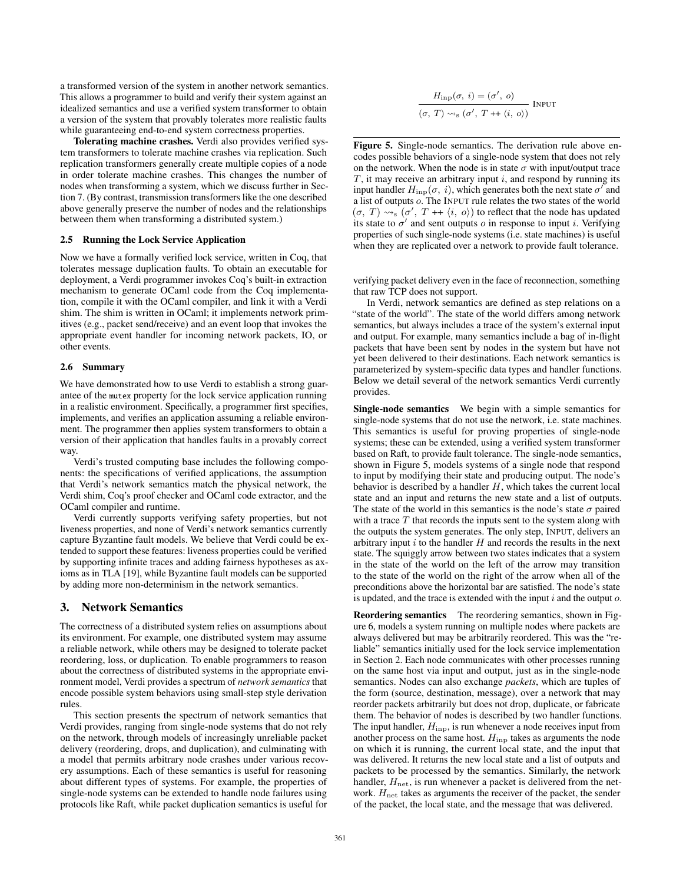a transformed version of the system in another network semantics. This allows a programmer to build and verify their system against an idealized semantics and use a verified system transformer to obtain a version of the system that provably tolerates more realistic faults while guaranteeing end-to-end system correctness properties.

Tolerating machine crashes. Verdi also provides verified system transformers to tolerate machine crashes via replication. Such replication transformers generally create multiple copies of a node in order tolerate machine crashes. This changes the number of nodes when transforming a system, which we discuss further in Section [7.](#page-8-0) (By contrast, transmission transformers like the one described above generally preserve the number of nodes and the relationships between them when transforming a distributed system.)

## 2.5 Running the Lock Service Application

Now we have a formally verified lock service, written in Coq, that tolerates message duplication faults. To obtain an executable for deployment, a Verdi programmer invokes Coq's built-in extraction mechanism to generate OCaml code from the Coq implementation, compile it with the OCaml compiler, and link it with a Verdi shim. The shim is written in OCaml; it implements network primitives (e.g., packet send/receive) and an event loop that invokes the appropriate event handler for incoming network packets, IO, or other events.

## 2.6 Summary

We have demonstrated how to use Verdi to establish a strong guarantee of the mutex property for the lock service application running in a realistic environment. Specifically, a programmer first specifies, implements, and verifies an application assuming a reliable environment. The programmer then applies system transformers to obtain a version of their application that handles faults in a provably correct way.

Verdi's trusted computing base includes the following components: the specifications of verified applications, the assumption that Verdi's network semantics match the physical network, the Verdi shim, Coq's proof checker and OCaml code extractor, and the OCaml compiler and runtime.

Verdi currently supports verifying safety properties, but not liveness properties, and none of Verdi's network semantics currently capture Byzantine fault models. We believe that Verdi could be extended to support these features: liveness properties could be verified by supporting infinite traces and adding fairness hypotheses as axioms as in TLA [\[19\]](#page-11-7), while Byzantine fault models can be supported by adding more non-determinism in the network semantics.

# <span id="page-4-0"></span>3. Network Semantics

The correctness of a distributed system relies on assumptions about its environment. For example, one distributed system may assume a reliable network, while others may be designed to tolerate packet reordering, loss, or duplication. To enable programmers to reason about the correctness of distributed systems in the appropriate environment model, Verdi provides a spectrum of *network semantics* that encode possible system behaviors using small-step style derivation rules.

This section presents the spectrum of network semantics that Verdi provides, ranging from single-node systems that do not rely on the network, through models of increasingly unreliable packet delivery (reordering, drops, and duplication), and culminating with a model that permits arbitrary node crashes under various recovery assumptions. Each of these semantics is useful for reasoning about different types of systems. For example, the properties of single-node systems can be extended to handle node failures using protocols like Raft, while packet duplication semantics is useful for

$$
\frac{H_{\text{inp}}(\sigma, i) = (\sigma', o)}{(\sigma, T) \rightsquigarrow_{s} (\sigma', T + + \langle i, o \rangle)}
$$
INPUT

<span id="page-4-1"></span>Figure 5. Single-node semantics. The derivation rule above encodes possible behaviors of a single-node system that does not rely on the network. When the node is in state  $\sigma$  with input/output trace  $T$ , it may receive an arbitrary input  $i$ , and respond by running its input handler  $H_{\text{inp}}(\sigma, i)$ , which generates both the next state  $\sigma'$  and a list of outputs o. The INPUT rule relates the two states of the world  $(\sigma, T) \rightsquigarrow_s (\sigma', T + \langle i, o \rangle)$  to reflect that the node has updated its state to  $\sigma'$  and sent outputs  $o$  in response to input i. Verifying properties of such single-node systems (i.e. state machines) is useful when they are replicated over a network to provide fault tolerance.

verifying packet delivery even in the face of reconnection, something that raw TCP does not support.

In Verdi, network semantics are defined as step relations on a "state of the world". The state of the world differs among network semantics, but always includes a trace of the system's external input and output. For example, many semantics include a bag of in-flight packets that have been sent by nodes in the system but have not yet been delivered to their destinations. Each network semantics is parameterized by system-specific data types and handler functions. Below we detail several of the network semantics Verdi currently provides.

Single-node semantics We begin with a simple semantics for single-node systems that do not use the network, i.e. state machines. This semantics is useful for proving properties of single-node systems; these can be extended, using a verified system transformer based on Raft, to provide fault tolerance. The single-node semantics, shown in Figure [5,](#page-4-1) models systems of a single node that respond to input by modifying their state and producing output. The node's behavior is described by a handler  $H$ , which takes the current local state and an input and returns the new state and a list of outputs. The state of the world in this semantics is the node's state  $\sigma$  paired with a trace  $T$  that records the inputs sent to the system along with the outputs the system generates. The only step, INPUT, delivers an arbitrary input  $i$  to the handler  $H$  and records the results in the next state. The squiggly arrow between two states indicates that a system in the state of the world on the left of the arrow may transition to the state of the world on the right of the arrow when all of the preconditions above the horizontal bar are satisfied. The node's state is updated, and the trace is extended with the input i and the output  $o$ .

Reordering semantics The reordering semantics, shown in Figure [6,](#page-5-0) models a system running on multiple nodes where packets are always delivered but may be arbitrarily reordered. This was the "reliable" semantics initially used for the lock service implementation in Section [2.](#page-1-0) Each node communicates with other processes running on the same host via input and output, just as in the single-node semantics. Nodes can also exchange *packets*, which are tuples of the form (source, destination, message), over a network that may reorder packets arbitrarily but does not drop, duplicate, or fabricate them. The behavior of nodes is described by two handler functions. The input handler,  $H_{\text{inp}}$ , is run whenever a node receives input from another process on the same host.  $H_{\text{inp}}$  takes as arguments the node on which it is running, the current local state, and the input that was delivered. It returns the new local state and a list of outputs and packets to be processed by the semantics. Similarly, the network handler,  $H_{\text{net}}$ , is run whenever a packet is delivered from the network.  $H_{\text{net}}$  takes as arguments the receiver of the packet, the sender of the packet, the local state, and the message that was delivered.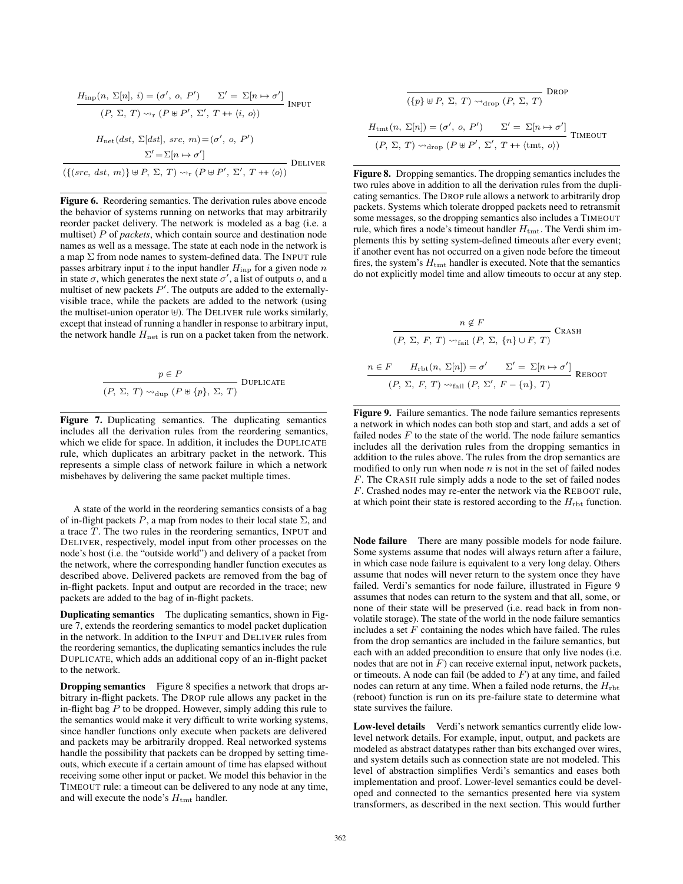$$
H_{\text{inp}}(n, \Sigma[n], i) = (\sigma', o, P') \quad \Sigma' = \Sigma[n \mapsto \sigma']
$$
  
\n
$$
(P, \Sigma, T) \rightsquigarrow_{r} (P \uplus P', \Sigma', T + \langle i, o \rangle)
$$
  
\n
$$
H_{\text{net}}(dst, \Sigma[dst], src, m) = (\sigma', o, P')
$$
  
\n
$$
\Sigma' = \Sigma[n \mapsto \sigma']
$$
  
\n
$$
(\{(src, dst, m)\} \uplus P, \Sigma, T) \rightsquigarrow_{r} (P \uplus P', \Sigma', T + \langle o \rangle))
$$
DELIVER

<span id="page-5-0"></span>Figure 6. Reordering semantics. The derivation rules above encode the behavior of systems running on networks that may arbitrarily reorder packet delivery. The network is modeled as a bag (i.e. a multiset) P of *packets*, which contain source and destination node names as well as a message. The state at each node in the network is a map Σ from node names to system-defined data. The INPUT rule passes arbitrary input i to the input handler  $H_{\text{inp}}$  for a given node n in state  $\sigma$ , which generates the next state  $\sigma'$ , a list of outputs  $o$ , and a multiset of new packets  $P'$ . The outputs are added to the externallyvisible trace, while the packets are added to the network (using the multiset-union operator  $\uplus$ ). The DELIVER rule works similarly, except that instead of running a handler in response to arbitrary input, the network handle  $H_{\text{net}}$  is run on a packet taken from the network.

<span id="page-5-1"></span>
$$
\frac{p \in P}{(P, \Sigma, T) \rightsquigarrow_{\text{dup}} (P \uplus \{p\}, \Sigma, T)}
$$
DUPLICATE

Figure 7. Duplicating semantics. The duplicating semantics includes all the derivation rules from the reordering semantics, which we elide for space. In addition, it includes the DUPLICATE rule, which duplicates an arbitrary packet in the network. This represents a simple class of network failure in which a network misbehaves by delivering the same packet multiple times.

A state of the world in the reordering semantics consists of a bag of in-flight packets P, a map from nodes to their local state  $\Sigma$ , and a trace T. The two rules in the reordering semantics, INPUT and DELIVER, respectively, model input from other processes on the node's host (i.e. the "outside world") and delivery of a packet from the network, where the corresponding handler function executes as described above. Delivered packets are removed from the bag of in-flight packets. Input and output are recorded in the trace; new packets are added to the bag of in-flight packets.

Duplicating semantics The duplicating semantics, shown in Figure [7,](#page-5-1) extends the reordering semantics to model packet duplication in the network. In addition to the INPUT and DELIVER rules from the reordering semantics, the duplicating semantics includes the rule DUPLICATE, which adds an additional copy of an in-flight packet to the network.

**Dropping semantics** Figure [8](#page-5-2) specifies a network that drops arbitrary in-flight packets. The DROP rule allows any packet in the in-flight bag  $P$  to be dropped. However, simply adding this rule to the semantics would make it very difficult to write working systems, since handler functions only execute when packets are delivered and packets may be arbitrarily dropped. Real networked systems handle the possibility that packets can be dropped by setting timeouts, which execute if a certain amount of time has elapsed without receiving some other input or packet. We model this behavior in the TIMEOUT rule: a timeout can be delivered to any node at any time, and will execute the node's  $H_{\text{tmt}}$  handler.

$$
\frac{\text{ORo}}{(\{p\} \oplus P, \Sigma, T) \rightsquigarrow_{\text{drop}} (P, \Sigma, T)} \text{DRoP}
$$
\n
$$
\frac{H_{\text{tmt}}(n, \Sigma[n]) = (\sigma', o, P') \quad \Sigma' = \Sigma[n \mapsto \sigma']}{(P, \Sigma, T) \rightsquigarrow_{\text{drop}} (P \oplus P', \Sigma', T + \langle \text{tmt}, o \rangle)} \text{TIMEOUT}
$$

<span id="page-5-2"></span>Figure 8. Dropping semantics. The dropping semantics includes the two rules above in addition to all the derivation rules from the duplicating semantics. The DROP rule allows a network to arbitrarily drop packets. Systems which tolerate dropped packets need to retransmit some messages, so the dropping semantics also includes a TIMEOUT rule, which fires a node's timeout handler  $H_{\text{tmt}}$ . The Verdi shim implements this by setting system-defined timeouts after every event; if another event has not occurred on a given node before the timeout fires, the system's  $H<sub>tmt</sub>$  handler is executed. Note that the semantics do not explicitly model time and allow timeouts to occur at any step.

$$
n \notin F
$$
  
(*P*,  $\Sigma$ , *F*, *T*)  $\leadsto_{\text{fail}}$  (*P*,  $\Sigma$ , {*n*}  $\cup$  *F*, *T*)  

$$
n \in F
$$

$$
H_{\text{rbt}}(n, \Sigma[n]) = \sigma' \qquad \Sigma' = \Sigma[n \mapsto \sigma']
$$

$$
(P, \Sigma, F, T) \leadsto_{\text{fail}} (P, \Sigma', F - \{n\}, T)
$$
REBOOT

<span id="page-5-3"></span>Figure 9. Failure semantics. The node failure semantics represents a network in which nodes can both stop and start, and adds a set of failed nodes  $F$  to the state of the world. The node failure semantics includes all the derivation rules from the dropping semantics in addition to the rules above. The rules from the drop semantics are modified to only run when node  $n$  is not in the set of failed nodes F. The CRASH rule simply adds a node to the set of failed nodes F. Crashed nodes may re-enter the network via the REBOOT rule, at which point their state is restored according to the  $H_{\text{rbt}}$  function.

Node failure There are many possible models for node failure. Some systems assume that nodes will always return after a failure, in which case node failure is equivalent to a very long delay. Others assume that nodes will never return to the system once they have failed. Verdi's semantics for node failure, illustrated in Figure [9](#page-5-3) assumes that nodes can return to the system and that all, some, or none of their state will be preserved (i.e. read back in from nonvolatile storage). The state of the world in the node failure semantics includes a set  $F$  containing the nodes which have failed. The rules from the drop semantics are included in the failure semantics, but each with an added precondition to ensure that only live nodes (i.e. nodes that are not in  $F$ ) can receive external input, network packets, or timeouts. A node can fail (be added to  $F$ ) at any time, and failed nodes can return at any time. When a failed node returns, the  $H_{\text{rbt}}$ (reboot) function is run on its pre-failure state to determine what state survives the failure.

Low-level details Verdi's network semantics currently elide lowlevel network details. For example, input, output, and packets are modeled as abstract datatypes rather than bits exchanged over wires, and system details such as connection state are not modeled. This level of abstraction simplifies Verdi's semantics and eases both implementation and proof. Lower-level semantics could be developed and connected to the semantics presented here via system transformers, as described in the next section. This would further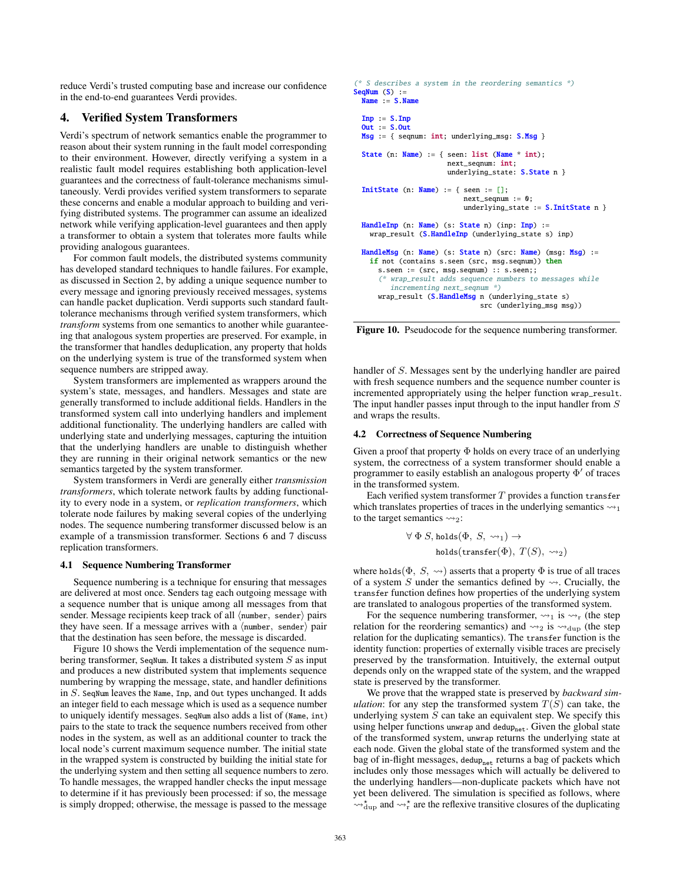reduce Verdi's trusted computing base and increase our confidence in the end-to-end guarantees Verdi provides.

## <span id="page-6-0"></span>4. Verified System Transformers

Verdi's spectrum of network semantics enable the programmer to reason about their system running in the fault model corresponding to their environment. However, directly verifying a system in a realistic fault model requires establishing both application-level guarantees and the correctness of fault-tolerance mechanisms simultaneously. Verdi provides verified system transformers to separate these concerns and enable a modular approach to building and verifying distributed systems. The programmer can assume an idealized network while verifying application-level guarantees and then apply a transformer to obtain a system that tolerates more faults while providing analogous guarantees.

For common fault models, the distributed systems community has developed standard techniques to handle failures. For example, as discussed in Section [2,](#page-1-0) by adding a unique sequence number to every message and ignoring previously received messages, systems can handle packet duplication. Verdi supports such standard faulttolerance mechanisms through verified system transformers, which *transform* systems from one semantics to another while guaranteeing that analogous system properties are preserved. For example, in the transformer that handles deduplication, any property that holds on the underlying system is true of the transformed system when sequence numbers are stripped away.

System transformers are implemented as wrappers around the system's state, messages, and handlers. Messages and state are generally transformed to include additional fields. Handlers in the transformed system call into underlying handlers and implement additional functionality. The underlying handlers are called with underlying state and underlying messages, capturing the intuition that the underlying handlers are unable to distinguish whether they are running in their original network semantics or the new semantics targeted by the system transformer.

System transformers in Verdi are generally either *transmission transformers*, which tolerate network faults by adding functionality to every node in a system, or *replication transformers*, which tolerate node failures by making several copies of the underlying nodes. The sequence numbering transformer discussed below is an example of a transmission transformer. Sections [6](#page-7-1) and [7](#page-8-0) discuss replication transformers.

#### 4.1 Sequence Numbering Transformer

Sequence numbering is a technique for ensuring that messages are delivered at most once. Senders tag each outgoing message with a sequence number that is unique among all messages from that sender. Message recipients keep track of all  $\langle$  number, sender $\rangle$  pairs they have seen. If a message arrives with a  $\langle$ number, sender $\rangle$  pair that the destination has seen before, the message is discarded.

Figure [10](#page-6-1) shows the Verdi implementation of the sequence numbering transformer, SeqNum. It takes a distributed system S as input and produces a new distributed system that implements sequence numbering by wrapping the message, state, and handler definitions in S. SeqNum leaves the Name, Inp, and Out types unchanged. It adds an integer field to each message which is used as a sequence number to uniquely identify messages. SeqNum also adds a list of (Name, int) pairs to the state to track the sequence numbers received from other nodes in the system, as well as an additional counter to track the local node's current maximum sequence number. The initial state in the wrapped system is constructed by building the initial state for the underlying system and then setting all sequence numbers to zero. To handle messages, the wrapped handler checks the input message to determine if it has previously been processed: if so, the message is simply dropped; otherwise, the message is passed to the message

```
(* S describes a system in the reordering semantics *)
SeaNum (S) :=
  Name := S.Name
  Inp = S. Inp
  Out := S. OutMsg := \{ seqnum: int; underlying_msg: S.Msg }
  State (n: Name) := { seen: list (Name * int);
                       next_seqnum: int;
                       underlying_state: S.State n }
  InitState (n: Name) := { seen := [];
                           next_seqnum := 0:
                           underlying_state := S.InitState n }
  HandleInp (n: Name) (s: State n) (im: Imp) :=wrap_result (S.HandleInp (underlying_state s) inp)
  HandleMsg (n: Name) (s: State n) (src: Name) (msg: Msg) :=
   if not (contains s.seen (src, msg.seqnum)) then
      s.seen := (src, msg.seqnum) :: s.seen;;
      (* wrap_result adds sequence numbers to messages while
         incrementing next_seqnum *)
      wrap_result (S.HandleMsg n (underlying_state s)
                               src (underlying_msg msg))
```
<span id="page-6-1"></span>

handler of S. Messages sent by the underlying handler are paired with fresh sequence numbers and the sequence number counter is incremented appropriately using the helper function wrap\_result. The input handler passes input through to the input handler from S and wraps the results.

### 4.2 Correctness of Sequence Numbering

Given a proof that property  $\Phi$  holds on every trace of an underlying system, the correctness of a system transformer should enable a programmer to easily establish an analogous property  $\Phi'$  of traces in the transformed system.

Each verified system transformer  $T$  provides a function transfer which translates properties of traces in the underlying semantics  $\rightsquigarrow_1$ to the target semantics  $\rightsquigarrow_2$ :

$$
\begin{aligned} \forall \ \Phi \ S \text{, holds}(\Phi, \ S, \ \leadsto_1) \rightarrow \\ \text{holds}(\text{transfer}(\Phi), \ T(S), \ \leadsto_2) \end{aligned}
$$

where holds( $\Phi$ ,  $S$ ,  $\rightarrow$ ) asserts that a property  $\Phi$  is true of all traces of a system S under the semantics defined by  $\rightsquigarrow$ . Crucially, the transfer function defines how properties of the underlying system are translated to analogous properties of the transformed system.

For the sequence numbering transformer,  $\rightsquigarrow_1$  is  $\rightsquigarrow_r$  (the step relation for the reordering semantics) and  $\rightsquigarrow_2$  is  $\rightsquigarrow_{\text{dup}}$  (the step relation for the duplicating semantics). The transfer function is the identity function: properties of externally visible traces are precisely preserved by the transformation. Intuitively, the external output depends only on the wrapped state of the system, and the wrapped state is preserved by the transformer.

We prove that the wrapped state is preserved by *backward simulation*: for any step the transformed system  $T(S)$  can take, the underlying system  $S$  can take an equivalent step. We specify this using helper functions unwrap and dedup<sub>net</sub>. Given the global state of the transformed system, unwrap returns the underlying state at each node. Given the global state of the transformed system and the bag of in-flight messages, dedup<sub>net</sub> returns a bag of packets which includes only those messages which will actually be delivered to the underlying handlers—non-duplicate packets which have not yet been delivered. The simulation is specified as follows, where  $\mathcal{L}_{\text{dup}}$  and  $\mathcal{L}_{\text{r}}^*$  are the reflexive transitive closures of the duplicating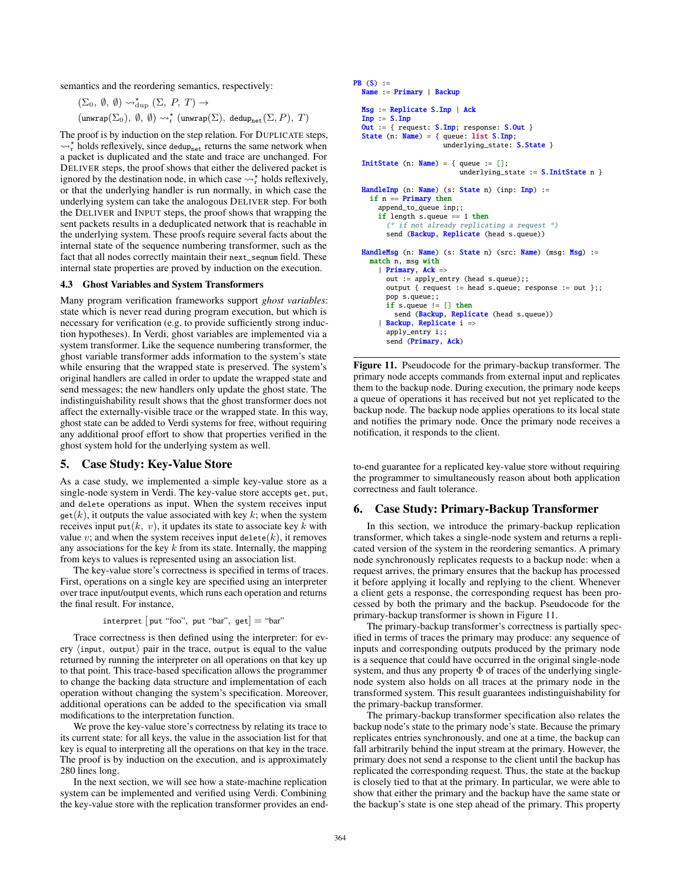semantics and the reordering semantics, respectively:

 $(\Sigma_0, \emptyset, \emptyset) \rightsquigarrow_{\mathrm{dup}}^{\star} (\Sigma, P, T) \rightarrow$  $(\text{unwrap}(\Sigma_0), \emptyset, \emptyset) \leadsto_r^{\star} (\text{unwrap}(\Sigma), \text{ dedup}_{\text{net}}(\Sigma, P), T)$ 

The proof is by induction on the step relation. For DUPLICATE steps,  $\rightsquigarrow_r^*$  holds reflexively, since dedup<sub>net</sub> returns the same network when a packet is duplicated and the state and trace are unchanged. For DELIVER steps, the proof shows that either the delivered packet is ignored by the destination node, in which case  $\rightsquigarrow_r^*$  holds reflexively, or that the underlying handler is run normally, in which case the underlying system can take the analogous DELIVER step. For both the DELIVER and INPUT steps, the proof shows that wrapping the sent packets results in a deduplicated network that is reachable in the underlying system. These proofs require several facts about the internal state of the sequence numbering transformer, such as the fact that all nodes correctly maintain their next\_seqnum field. These internal state properties are proved by induction on the execution.

### 4.3 Ghost Variables and System Transformers

Many program verification frameworks support *ghost variables*: state which is never read during program execution, but which is necessary for verification (e.g. to provide sufficiently strong induction hypotheses). In Verdi, ghost variables are implemented via a system transformer. Like the sequence numbering transformer, the ghost variable transformer adds information to the system's state while ensuring that the wrapped state is preserved. The system's original handlers are called in order to update the wrapped state and send messages; the new handlers only update the ghost state. The indistinguishability result shows that the ghost transformer does not affect the externally-visible trace or the wrapped state. In this way, ghost state can be added to Verdi systems for free, without requiring any additional proof effort to show that properties verified in the ghost system hold for the underlying system as well.

## <span id="page-7-0"></span>5. Case Study: Key-Value Store

As a case study, we implemented a simple key-value store as a single-node system in Verdi. The key-value store accepts get, put, and delete operations as input. When the system receives input  $get(k)$ , it outputs the value associated with key k; when the system receives input put  $(k, v)$ , it updates its state to associate key k with value  $v$ ; and when the system receives input delete( $k$ ), it removes any associations for the key  $k$  from its state. Internally, the mapping from keys to values is represented using an association list.

The key-value store's correctness is specified in terms of traces. First, operations on a single key are specified using an interpreter over trace input/output events, which runs each operation and returns the final result. For instance,

interpret  $[$  put "foo", put "bar", get $]$  = "bar"

Trace correctness is then defined using the interpreter: for every  $\langle$  input, output $\rangle$  pair in the trace, output is equal to the value returned by running the interpreter on all operations on that key up to that point. This trace-based specification allows the programmer to change the backing data structure and implementation of each operation without changing the system's specification. Moreover, additional operations can be added to the specification via small modifications to the interpretation function.

We prove the key-value store's correctness by relating its trace to its current state: for all keys, the value in the association list for that key is equal to interpreting all the operations on that key in the trace. The proof is by induction on the execution, and is approximately 280 lines long.

In the next section, we will see how a state-machine replication system can be implemented and verified using Verdi. Combining the key-value store with the replication transformer provides an end-

```
PB (S) :=Name := Primary | Backup
  Msg := Replicate S. Imp | AckInp := S.Inp
  Out := \{ request: S.\text{Imp}; response: S.Out }
  State (n: Name) = { queue: list S. Inp;
                       underlying_state: S.State }
  InitState (n: Name) = { queue := \lceil \cdot \rceil:
                            underlying_state := S. InitState n }
  HandleInp (n: Name) (s: State n) (inp: Inp) :=
if n == Primary then
      append_to_queue inp;;
      if length s.queue == 1 then
         (* if not already replicating a request *)
         send (Backup, Replicate (head s.queue))
  HandleMsg (n: Name) (s: State n) (src: Name) (msg: Msg) :=
    match n, msg with
      | Primary, Ack =>
         out := apply_entry (head s.queue);;
        output { request := head s.queue; response := out };;
         pop s.queue;;
         if s.queue != [] then
          send (Backup, Replicate (head s.queue))
      | Backup, Replicate i =>
         apply_entry i;;
         send (Primary, Ack)
```
<span id="page-7-2"></span>Figure 11. Pseudocode for the primary-backup transformer. The primary node accepts commands from external input and replicates them to the backup node. During execution, the primary node keeps a queue of operations it has received but not yet replicated to the backup node. The backup node applies operations to its local state and notifies the primary node. Once the primary node receives a notification, it responds to the client.

to-end guarantee for a replicated key-value store without requiring the programmer to simultaneously reason about both application correctness and fault tolerance.

## <span id="page-7-1"></span>6. Case Study: Primary-Backup Transformer

In this section, we introduce the primary-backup replication transformer, which takes a single-node system and returns a replicated version of the system in the reordering semantics. A primary node synchronously replicates requests to a backup node: when a request arrives, the primary ensures that the backup has processed it before applying it locally and replying to the client. Whenever a client gets a response, the corresponding request has been processed by both the primary and the backup. Pseudocode for the primary-backup transformer is shown in Figure [11.](#page-7-2)

The primary-backup transformer's correctness is partially specified in terms of traces the primary may produce: any sequence of inputs and corresponding outputs produced by the primary node is a sequence that could have occurred in the original single-node system, and thus any property  $\Phi$  of traces of the underlying singlenode system also holds on all traces at the primary node in the transformed system. This result guarantees indistinguishability for the primary-backup transformer.

The primary-backup transformer specification also relates the backup node's state to the primary node's state. Because the primary replicates entries synchronously, and one at a time, the backup can fall arbitrarily behind the input stream at the primary. However, the primary does not send a response to the client until the backup has replicated the corresponding request. Thus, the state at the backup is closely tied to that at the primary. In particular, we were able to show that either the primary and the backup have the same state or the backup's state is one step ahead of the primary. This property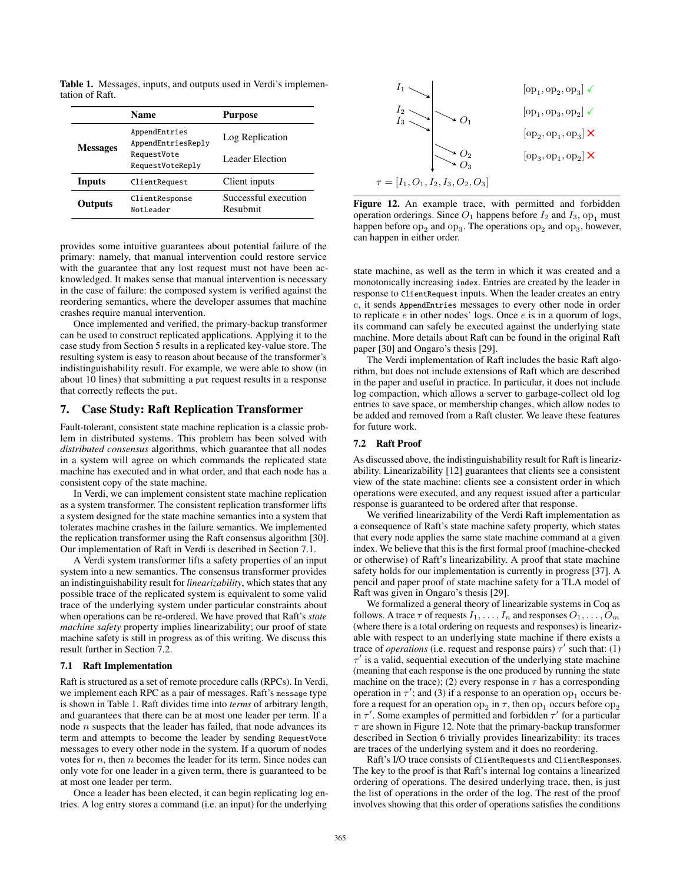<span id="page-8-3"></span>Table 1. Messages, inputs, and outputs used in Verdi's implementation of Raft.

|                 | Name                                | <b>Purpose</b>                     |  |
|-----------------|-------------------------------------|------------------------------------|--|
| <b>Messages</b> | AppendEntries<br>AppendEntriesReply | Log Replication<br>Leader Election |  |
|                 | RequestVote<br>RequestVoteReply     |                                    |  |
| <b>Inputs</b>   | ClientRequest                       | Client inputs                      |  |
| <b>Outputs</b>  | ClientResponse<br>NotLeader         | Successful execution<br>Resubmit   |  |

provides some intuitive guarantees about potential failure of the primary: namely, that manual intervention could restore service with the guarantee that any lost request must not have been acknowledged. It makes sense that manual intervention is necessary in the case of failure: the composed system is verified against the reordering semantics, where the developer assumes that machine crashes require manual intervention.

Once implemented and verified, the primary-backup transformer can be used to construct replicated applications. Applying it to the case study from Section [5](#page-7-0) results in a replicated key-value store. The resulting system is easy to reason about because of the transformer's indistinguishability result. For example, we were able to show (in about 10 lines) that submitting a put request results in a response that correctly reflects the put.

## <span id="page-8-0"></span>7. Case Study: Raft Replication Transformer

Fault-tolerant, consistent state machine replication is a classic problem in distributed systems. This problem has been solved with *distributed consensus* algorithms, which guarantee that all nodes in a system will agree on which commands the replicated state machine has executed and in what order, and that each node has a consistent copy of the state machine.

In Verdi, we can implement consistent state machine replication as a system transformer. The consistent replication transformer lifts a system designed for the state machine semantics into a system that tolerates machine crashes in the failure semantics. We implemented the replication transformer using the Raft consensus algorithm [\[30\]](#page-11-10). Our implementation of Raft in Verdi is described in Section [7.1.](#page-8-1)

A Verdi system transformer lifts a safety properties of an input system into a new semantics. The consensus transformer provides an indistinguishability result for *linearizability*, which states that any possible trace of the replicated system is equivalent to some valid trace of the underlying system under particular constraints about when operations can be re-ordered. We have proved that Raft's *state machine safety* property implies linearizability; our proof of state machine safety is still in progress as of this writing. We discuss this result further in Section [7.2.](#page-8-2)

#### <span id="page-8-1"></span>7.1 Raft Implementation

Raft is structured as a set of remote procedure calls (RPCs). In Verdi, we implement each RPC as a pair of messages. Raft's message type is shown in Table [1.](#page-8-3) Raft divides time into *terms* of arbitrary length, and guarantees that there can be at most one leader per term. If a node n suspects that the leader has failed, that node advances its term and attempts to become the leader by sending RequestVote messages to every other node in the system. If a quorum of nodes votes for  $n$ , then  $n$  becomes the leader for its term. Since nodes can only vote for one leader in a given term, there is guaranteed to be at most one leader per term.

Once a leader has been elected, it can begin replicating log entries. A log entry stores a command (i.e. an input) for the underlying



<span id="page-8-4"></span>Figure 12. An example trace, with permitted and forbidden operation orderings. Since  $O_1$  happens before  $I_2$  and  $I_3$ , op<sub>1</sub> must happen before  $\text{op}_2$  and  $\text{op}_3$ . The operations  $\text{op}_2$  and  $\text{op}_3$ , however, can happen in either order.

state machine, as well as the term in which it was created and a monotonically increasing index. Entries are created by the leader in response to ClientRequest inputs. When the leader creates an entry e, it sends AppendEntries messages to every other node in order to replicate  $e$  in other nodes' logs. Once  $e$  is in a quorum of logs, its command can safely be executed against the underlying state machine. More details about Raft can be found in the original Raft paper [\[30\]](#page-11-10) and Ongaro's thesis [\[29\]](#page-11-11).

The Verdi implementation of Raft includes the basic Raft algorithm, but does not include extensions of Raft which are described in the paper and useful in practice. In particular, it does not include log compaction, which allows a server to garbage-collect old log entries to save space, or membership changes, which allow nodes to be added and removed from a Raft cluster. We leave these features for future work.

## <span id="page-8-2"></span>7.2 Raft Proof

As discussed above, the indistinguishability result for Raft is linearizability. Linearizability [\[12\]](#page-11-12) guarantees that clients see a consistent view of the state machine: clients see a consistent order in which operations were executed, and any request issued after a particular response is guaranteed to be ordered after that response.

We verified linearizability of the Verdi Raft implementation as a consequence of Raft's state machine safety property, which states that every node applies the same state machine command at a given index. We believe that this is the first formal proof (machine-checked or otherwise) of Raft's linearizability. A proof that state machine safety holds for our implementation is currently in progress [\[37\]](#page-11-9). A pencil and paper proof of state machine safety for a TLA model of Raft was given in Ongaro's thesis [\[29\]](#page-11-11).

We formalized a general theory of linearizable systems in Coq as follows. A trace  $\tau$  of requests  $I_1, \ldots, I_n$  and responses  $O_1, \ldots, O_m$ (where there is a total ordering on requests and responses) is linearizable with respect to an underlying state machine if there exists a trace of *operations* (i.e. request and response pairs)  $\tau'$  such that: (1)  $\tau'$  is a valid, sequential execution of the underlying state machine (meaning that each response is the one produced by running the state machine on the trace); (2) every response in  $\tau$  has a corresponding operation in  $\tau'$ ; and (3) if a response to an operation op<sub>1</sub> occurs before a request for an operation  $\text{op}_2$  in  $\tau$ , then  $\text{op}_1$  occurs before  $\text{op}_2$ in  $\tau'$ . Some examples of permitted and forbidden  $\tau'$  for a particular  $\tau$  are shown in Figure [12.](#page-8-4) Note that the primary-backup transformer described in Section [6](#page-7-1) trivially provides linearizability: its traces are traces of the underlying system and it does no reordering.

Raft's I/O trace consists of ClientRequests and ClientResponses. The key to the proof is that Raft's internal log contains a linearized ordering of operations. The desired underlying trace, then, is just the list of operations in the order of the log. The rest of the proof involves showing that this order of operations satisfies the conditions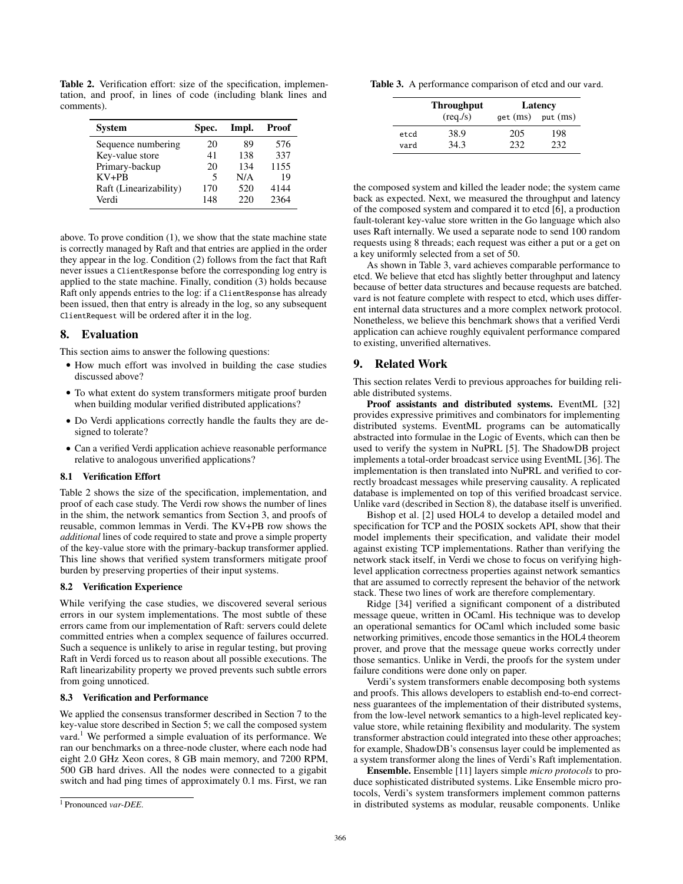<span id="page-9-2"></span>Table 2. Verification effort: size of the specification, implementation, and proof, in lines of code (including blank lines and comments).

| <b>System</b>          | Spec. | Impl. | <b>Proof</b> |
|------------------------|-------|-------|--------------|
| Sequence numbering     | 20    | 89    | 576          |
| Key-value store        | 41    | 138   | 337          |
| Primary-backup         | 20    | 134   | 1155         |
| $KV + PR$              | 5     | N/A   | 19           |
| Raft (Linearizability) | 170   | 520   | 4144         |
| Verdi                  | 148   | 220   | 2364         |

above. To prove condition (1), we show that the state machine state is correctly managed by Raft and that entries are applied in the order they appear in the log. Condition (2) follows from the fact that Raft never issues a ClientResponse before the corresponding log entry is applied to the state machine. Finally, condition (3) holds because Raft only appends entries to the log: if a ClientResponse has already been issued, then that entry is already in the log, so any subsequent ClientRequest will be ordered after it in the log.

# <span id="page-9-0"></span>8. Evaluation

This section aims to answer the following questions:

- How much effort was involved in building the case studies discussed above?
- To what extent do system transformers mitigate proof burden when building modular verified distributed applications?
- Do Verdi applications correctly handle the faults they are designed to tolerate?
- Can a verified Verdi application achieve reasonable performance relative to analogous unverified applications?

### 8.1 Verification Effort

Table [2](#page-9-2) shows the size of the specification, implementation, and proof of each case study. The Verdi row shows the number of lines in the shim, the network semantics from Section [3,](#page-4-0) and proofs of reusable, common lemmas in Verdi. The KV+PB row shows the *additional* lines of code required to state and prove a simple property of the key-value store with the primary-backup transformer applied. This line shows that verified system transformers mitigate proof burden by preserving properties of their input systems.

## 8.2 Verification Experience

While verifying the case studies, we discovered several serious errors in our system implementations. The most subtle of these errors came from our implementation of Raft: servers could delete committed entries when a complex sequence of failures occurred. Such a sequence is unlikely to arise in regular testing, but proving Raft in Verdi forced us to reason about all possible executions. The Raft linearizability property we proved prevents such subtle errors from going unnoticed.

## 8.3 Verification and Performance

We applied the consensus transformer described in Section [7](#page-8-0) to the key-value store described in Section [5;](#page-7-0) we call the composed system vard.<sup>[1](#page-9-3)</sup> We performed a simple evaluation of its performance. We ran our benchmarks on a three-node cluster, where each node had eight 2.0 GHz Xeon cores, 8 GB main memory, and 7200 RPM, 500 GB hard drives. All the nodes were connected to a gigabit switch and had ping times of approximately 0.1 ms. First, we ran

Table 3. A performance comparison of etcd and our vard.

<span id="page-9-4"></span>

|      | <b>Throughput</b>        | Latency |                      |
|------|--------------------------|---------|----------------------|
|      | $(\text{req.}/\text{s})$ |         | $get(ms)$ put $(ms)$ |
| etcd | 38.9                     | 205     | 198                  |
| vard | 34.3                     | ววว     | つろつ                  |

the composed system and killed the leader node; the system came back as expected. Next, we measured the throughput and latency of the composed system and compared it to etcd [\[6\]](#page-10-3), a production fault-tolerant key-value store written in the Go language which also uses Raft internally. We used a separate node to send 100 random requests using 8 threads; each request was either a put or a get on a key uniformly selected from a set of 50.

As shown in Table [3,](#page-9-4) vard achieves comparable performance to etcd. We believe that etcd has slightly better throughput and latency because of better data structures and because requests are batched. vard is not feature complete with respect to etcd, which uses different internal data structures and a more complex network protocol. Nonetheless, we believe this benchmark shows that a verified Verdi application can achieve roughly equivalent performance compared to existing, unverified alternatives.

## <span id="page-9-1"></span>9. Related Work

This section relates Verdi to previous approaches for building reliable distributed systems.

Proof assistants and distributed systems. EventML [\[32\]](#page-11-13) provides expressive primitives and combinators for implementing distributed systems. EventML programs can be automatically abstracted into formulae in the Logic of Events, which can then be used to verify the system in NuPRL [\[5\]](#page-10-4). The ShadowDB project implements a total-order broadcast service using EventML [\[36\]](#page-11-14). The implementation is then translated into NuPRL and verified to correctly broadcast messages while preserving causality. A replicated database is implemented on top of this verified broadcast service. Unlike vard (described in Section [8\)](#page-9-0), the database itself is unverified.

[Bishop et al.](#page-10-5) [\[2\]](#page-10-5) used HOL4 to develop a detailed model and specification for TCP and the POSIX sockets API, show that their model implements their specification, and validate their model against existing TCP implementations. Rather than verifying the network stack itself, in Verdi we chose to focus on verifying highlevel application correctness properties against network semantics that are assumed to correctly represent the behavior of the network stack. These two lines of work are therefore complementary.

[Ridge](#page-11-15) [\[34\]](#page-11-15) verified a significant component of a distributed message queue, written in OCaml. His technique was to develop an operational semantics for OCaml which included some basic networking primitives, encode those semantics in the HOL4 theorem prover, and prove that the message queue works correctly under those semantics. Unlike in Verdi, the proofs for the system under failure conditions were done only on paper.

Verdi's system transformers enable decomposing both systems and proofs. This allows developers to establish end-to-end correctness guarantees of the implementation of their distributed systems, from the low-level network semantics to a high-level replicated keyvalue store, while retaining flexibility and modularity. The system transformer abstraction could integrated into these other approaches; for example, ShadowDB's consensus layer could be implemented as a system transformer along the lines of Verdi's Raft implementation.

Ensemble. Ensemble [\[11\]](#page-11-16) layers simple *micro protocols* to produce sophisticated distributed systems. Like Ensemble micro protocols, Verdi's system transformers implement common patterns in distributed systems as modular, reusable components. Unlike

<span id="page-9-3"></span><sup>1</sup> Pronounced *var-DEE*.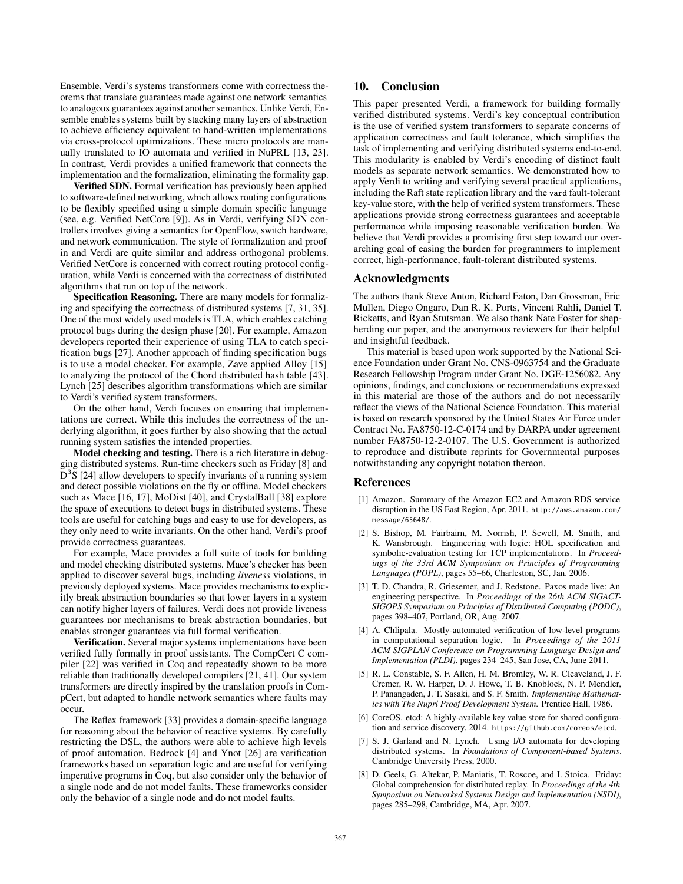Ensemble, Verdi's systems transformers come with correctness theorems that translate guarantees made against one network semantics to analogous guarantees against another semantics. Unlike Verdi, Ensemble enables systems built by stacking many layers of abstraction to achieve efficiency equivalent to hand-written implementations via cross-protocol optimizations. These micro protocols are manually translated to IO automata and verified in NuPRL [\[13,](#page-11-17) [23\]](#page-11-18). In contrast, Verdi provides a unified framework that connects the implementation and the formalization, eliminating the formality gap.

Verified SDN. Formal verification has previously been applied to software-defined networking, which allows routing configurations to be flexibly specified using a simple domain specific language (see, e.g. Verified NetCore [\[9\]](#page-11-19)). As in Verdi, verifying SDN controllers involves giving a semantics for OpenFlow, switch hardware, and network communication. The style of formalization and proof in and Verdi are quite similar and address orthogonal problems. Verified NetCore is concerned with correct routing protocol configuration, while Verdi is concerned with the correctness of distributed algorithms that run on top of the network.

Specification Reasoning. There are many models for formalizing and specifying the correctness of distributed systems [\[7,](#page-10-6) [31,](#page-11-20) [35\]](#page-11-21). One of the most widely used models is TLA, which enables catching protocol bugs during the design phase [\[20\]](#page-11-22). For example, Amazon developers reported their experience of using TLA to catch specification bugs [\[27\]](#page-11-23). Another approach of finding specification bugs is to use a model checker. For example, [Zave](#page-11-24) applied Alloy [\[15\]](#page-11-8) to analyzing the protocol of the Chord distributed hash table [\[43\]](#page-11-24). [Lynch](#page-11-25) [\[25\]](#page-11-25) describes algorithm transformations which are similar to Verdi's verified system transformers.

On the other hand, Verdi focuses on ensuring that implementations are correct. While this includes the correctness of the underlying algorithm, it goes further by also showing that the actual running system satisfies the intended properties.

Model checking and testing. There is a rich literature in debugging distributed systems. Run-time checkers such as Friday [\[8\]](#page-10-7) and  $\bar{D}^3$ S [\[24\]](#page-11-26) allow developers to specify invariants of a running system and detect possible violations on the fly or offline. Model checkers such as Mace [\[16,](#page-11-27) [17\]](#page-11-28), MoDist [\[40\]](#page-11-29), and CrystalBall [\[38\]](#page-11-30) explore the space of executions to detect bugs in distributed systems. These tools are useful for catching bugs and easy to use for developers, as they only need to write invariants. On the other hand, Verdi's proof provide correctness guarantees.

For example, Mace provides a full suite of tools for building and model checking distributed systems. Mace's checker has been applied to discover several bugs, including *liveness* violations, in previously deployed systems. Mace provides mechanisms to explicitly break abstraction boundaries so that lower layers in a system can notify higher layers of failures. Verdi does not provide liveness guarantees nor mechanisms to break abstraction boundaries, but enables stronger guarantees via full formal verification.

Verification. Several major systems implementations have been verified fully formally in proof assistants. The CompCert C compiler [\[22\]](#page-11-31) was verified in Coq and repeatedly shown to be more reliable than traditionally developed compilers [\[21,](#page-11-32) [41\]](#page-11-4). Our system transformers are directly inspired by the translation proofs in CompCert, but adapted to handle network semantics where faults may occur.

The Reflex framework [\[33\]](#page-11-33) provides a domain-specific language for reasoning about the behavior of reactive systems. By carefully restricting the DSL, the authors were able to achieve high levels of proof automation. Bedrock [\[4\]](#page-10-8) and Ynot [\[26\]](#page-11-34) are verification frameworks based on separation logic and are useful for verifying imperative programs in Coq, but also consider only the behavior of a single node and do not model faults. These frameworks consider only the behavior of a single node and do not model faults.

# <span id="page-10-2"></span>10. Conclusion

This paper presented Verdi, a framework for building formally verified distributed systems. Verdi's key conceptual contribution is the use of verified system transformers to separate concerns of application correctness and fault tolerance, which simplifies the task of implementing and verifying distributed systems end-to-end. This modularity is enabled by Verdi's encoding of distinct fault models as separate network semantics. We demonstrated how to apply Verdi to writing and verifying several practical applications, including the Raft state replication library and the vard fault-tolerant key-value store, with the help of verified system transformers. These applications provide strong correctness guarantees and acceptable performance while imposing reasonable verification burden. We believe that Verdi provides a promising first step toward our overarching goal of easing the burden for programmers to implement correct, high-performance, fault-tolerant distributed systems.

## Acknowledgments

The authors thank Steve Anton, Richard Eaton, Dan Grossman, Eric Mullen, Diego Ongaro, Dan R. K. Ports, Vincent Rahli, Daniel T. Ricketts, and Ryan Stutsman. We also thank Nate Foster for shepherding our paper, and the anonymous reviewers for their helpful and insightful feedback.

This material is based upon work supported by the National Science Foundation under Grant No. CNS-0963754 and the Graduate Research Fellowship Program under Grant No. DGE-1256082. Any opinions, findings, and conclusions or recommendations expressed in this material are those of the authors and do not necessarily reflect the views of the National Science Foundation. This material is based on research sponsored by the United States Air Force under Contract No. FA8750-12-C-0174 and by DARPA under agreement number FA8750-12-2-0107. The U.S. Government is authorized to reproduce and distribute reprints for Governmental purposes notwithstanding any copyright notation thereon.

### References

- <span id="page-10-0"></span>[1] Amazon. Summary of the Amazon EC2 and Amazon RDS service disruption in the US East Region, Apr. 2011. [http://aws.amazon.com/](http://aws.amazon.com/message/65648/) [message/65648/](http://aws.amazon.com/message/65648/).
- <span id="page-10-5"></span>[2] S. Bishop, M. Fairbairn, M. Norrish, P. Sewell, M. Smith, and K. Wansbrough. Engineering with logic: HOL specification and symbolic-evaluation testing for TCP implementations. In *Proceedings of the 33rd ACM Symposium on Principles of Programming Languages (POPL)*, pages 55–66, Charleston, SC, Jan. 2006.
- <span id="page-10-1"></span>[3] T. D. Chandra, R. Griesemer, and J. Redstone. Paxos made live: An engineering perspective. In *Proceedings of the 26th ACM SIGACT-SIGOPS Symposium on Principles of Distributed Computing (PODC)*, pages 398–407, Portland, OR, Aug. 2007.
- <span id="page-10-8"></span>[4] A. Chlipala. Mostly-automated verification of low-level programs in computational separation logic. In *Proceedings of the 2011 ACM SIGPLAN Conference on Programming Language Design and Implementation (PLDI)*, pages 234–245, San Jose, CA, June 2011.
- <span id="page-10-4"></span>[5] R. L. Constable, S. F. Allen, H. M. Bromley, W. R. Cleaveland, J. F. Cremer, R. W. Harper, D. J. Howe, T. B. Knoblock, N. P. Mendler, P. Panangaden, J. T. Sasaki, and S. F. Smith. *Implementing Mathematics with The Nuprl Proof Development System*. Prentice Hall, 1986.
- <span id="page-10-3"></span>[6] CoreOS. etcd: A highly-available key value store for shared configuration and service discovery, 2014. <https://github.com/coreos/etcd>.
- <span id="page-10-6"></span>S. J. Garland and N. Lynch. Using I/O automata for developing distributed systems. In *Foundations of Component-based Systems*. Cambridge University Press, 2000.
- <span id="page-10-7"></span>[8] D. Geels, G. Altekar, P. Maniatis, T. Roscoe, and I. Stoica. Friday: Global comprehension for distributed replay. In *Proceedings of the 4th Symposium on Networked Systems Design and Implementation (NSDI)*, pages 285–298, Cambridge, MA, Apr. 2007.